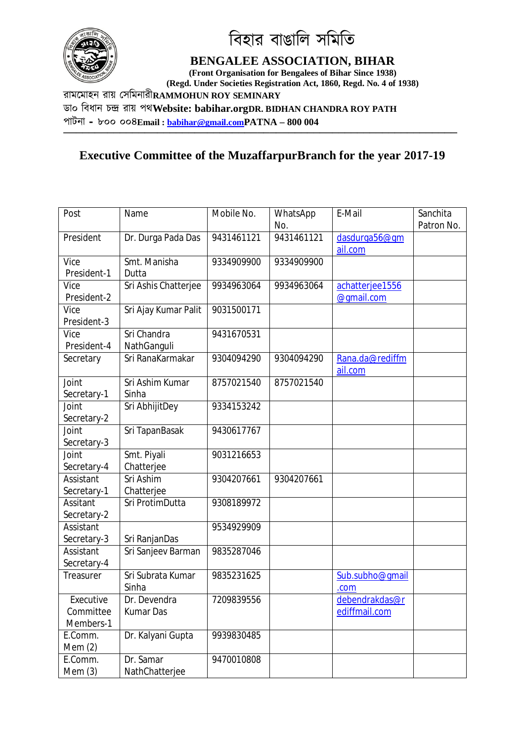

িবহার বাঙািল সিমিত

## **BENGALEE ASSOCIATION, BIHAR**

**(Front Organisation for Bengalees of Bihar Since 1938) (Regd. Under Societies Registration Act, 1860, Regd. No. 4 of 1938)**

রামেমাহন রায় Ʊসিমনারী**RAMMOHUN ROY SEMINARY**

ডা০ িবধান চģ রায় পথ**Website: babihar.orgDR. BIDHAN CHANDRA ROY PATH**

পাটনা **–** ৮০০ ০০৪**Email : babihar@gmail.comPATNA – 800 004**

## **Executive Committee of the MuzaffarpurBranch for the year 2017-19**

**───────────────────────────────────────────────────────────────**

| Post        | Name                 | Mobile No. | WhatsApp   | E-Mail          | Sanchita   |
|-------------|----------------------|------------|------------|-----------------|------------|
|             |                      |            | No.        |                 | Patron No. |
| President   | Dr. Durga Pada Das   | 9431461121 | 9431461121 | dasdurga56@qm   |            |
|             |                      |            |            | ail.com         |            |
| Vice        | Smt. Manisha         | 9334909900 | 9334909900 |                 |            |
| President-1 | Dutta                |            |            |                 |            |
| Vice        | Sri Ashis Chatterjee | 9934963064 | 9934963064 | achatterjee1556 |            |
| President-2 |                      |            |            | @qmail.com      |            |
| Vice        | Sri Ajay Kumar Palit | 9031500171 |            |                 |            |
| President-3 |                      |            |            |                 |            |
| Vice        | Sri Chandra          | 9431670531 |            |                 |            |
| President-4 | NathGanguli          |            |            |                 |            |
| Secretary   | Sri RanaKarmakar     | 9304094290 | 9304094290 | Rana.da@rediffm |            |
|             |                      |            |            | ail.com         |            |
| Joint       | Sri Ashim Kumar      | 8757021540 | 8757021540 |                 |            |
| Secretary-1 | Sinha                |            |            |                 |            |
| Joint       | Sri AbhijitDey       | 9334153242 |            |                 |            |
| Secretary-2 |                      |            |            |                 |            |
| Joint       | Sri TapanBasak       | 9430617767 |            |                 |            |
| Secretary-3 |                      |            |            |                 |            |
| Joint       | Smt. Piyali          | 9031216653 |            |                 |            |
| Secretary-4 | Chatterjee           |            |            |                 |            |
| Assistant   | Sri Ashim            | 9304207661 | 9304207661 |                 |            |
| Secretary-1 | Chatterjee           |            |            |                 |            |
| Assitant    | Sri ProtimDutta      | 9308189972 |            |                 |            |
| Secretary-2 |                      |            |            |                 |            |
| Assistant   |                      | 9534929909 |            |                 |            |
| Secretary-3 | Sri RanjanDas        |            |            |                 |            |
| Assistant   | Sri Sanjeev Barman   | 9835287046 |            |                 |            |
| Secretary-4 |                      |            |            |                 |            |
| Treasurer   | Sri Subrata Kumar    | 9835231625 |            | Sub.subho@qmail |            |
|             | Sinha                |            |            | .com            |            |
| Executive   | Dr. Devendra         | 7209839556 |            | debendrakdas@r  |            |
| Committee   | <b>Kumar Das</b>     |            |            | ediffmail.com   |            |
| Members-1   |                      |            |            |                 |            |
| E.Comm.     | Dr. Kalyani Gupta    | 9939830485 |            |                 |            |
| Mem $(2)$   |                      |            |            |                 |            |
| E.Comm.     | Dr. Samar            | 9470010808 |            |                 |            |
| Mem(3)      | NathChatterjee       |            |            |                 |            |